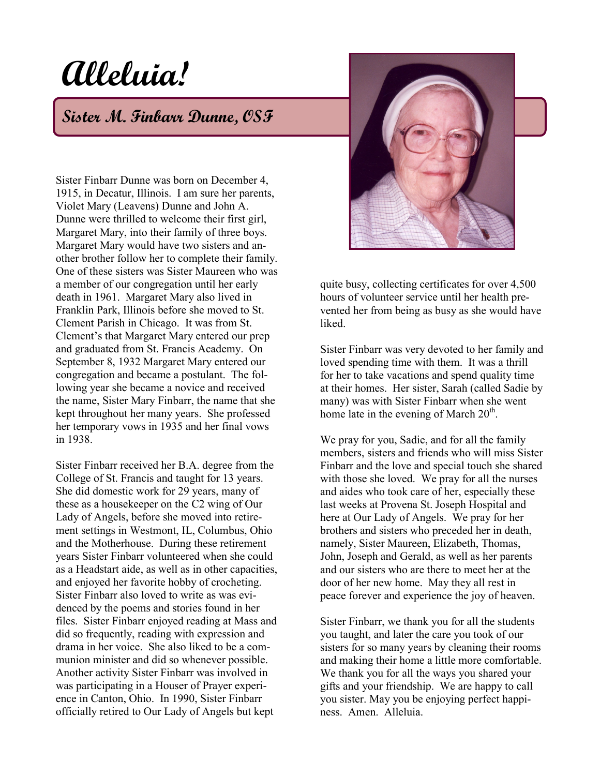## **Alleluia!**

## **Sister M. Finbarr Dunne, OSF**

Sister Finbarr Dunne was born on December 4, 1915, in Decatur, Illinois. I am sure her parents, Violet Mary (Leavens) Dunne and John A. Dunne were thrilled to welcome their first girl, Margaret Mary, into their family of three boys. Margaret Mary would have two sisters and another brother follow her to complete their family. One of these sisters was Sister Maureen who was a member of our congregation until her early death in 1961. Margaret Mary also lived in Franklin Park, Illinois before she moved to St. Clement Parish in Chicago. It was from St. Clement's that Margaret Mary entered our prep and graduated from St. Francis Academy. On September 8, 1932 Margaret Mary entered our congregation and became a postulant. The following year she became a novice and received the name, Sister Mary Finbarr, the name that she kept throughout her many years. She professed her temporary vows in 1935 and her final vows in 1938.

Sister Finbarr received her B.A. degree from the College of St. Francis and taught for 13 years. She did domestic work for 29 years, many of these as a housekeeper on the C2 wing of Our Lady of Angels, before she moved into retirement settings in Westmont, IL, Columbus, Ohio and the Motherhouse. During these retirement years Sister Finbarr volunteered when she could as a Headstart aide, as well as in other capacities, and enjoyed her favorite hobby of crocheting. Sister Finbarr also loved to write as was evidenced by the poems and stories found in her files. Sister Finbarr enjoyed reading at Mass and did so frequently, reading with expression and drama in her voice. She also liked to be a communion minister and did so whenever possible. Another activity Sister Finbarr was involved in was participating in a Houser of Prayer experience in Canton, Ohio. In 1990, Sister Finbarr officially retired to Our Lady of Angels but kept



quite busy, collecting certificates for over 4,500 hours of volunteer service until her health prevented her from being as busy as she would have **liked** 

Sister Finbarr was very devoted to her family and loved spending time with them. It was a thrill for her to take vacations and spend quality time at their homes. Her sister, Sarah (called Sadie by many) was with Sister Finbarr when she went home late in the evening of March 20<sup>th</sup>.

We pray for you, Sadie, and for all the family members, sisters and friends who will miss Sister Finbarr and the love and special touch she shared with those she loved. We pray for all the nurses and aides who took care of her, especially these last weeks at Provena St. Joseph Hospital and here at Our Lady of Angels. We pray for her brothers and sisters who preceded her in death, namely, Sister Maureen, Elizabeth, Thomas, John, Joseph and Gerald, as well as her parents and our sisters who are there to meet her at the door of her new home. May they all rest in peace forever and experience the joy of heaven.

Sister Finbarr, we thank you for all the students you taught, and later the care you took of our sisters for so many years by cleaning their rooms and making their home a little more comfortable. We thank you for all the ways you shared your gifts and your friendship. We are happy to call you sister. May you be enjoying perfect happiness. Amen. Alleluia.